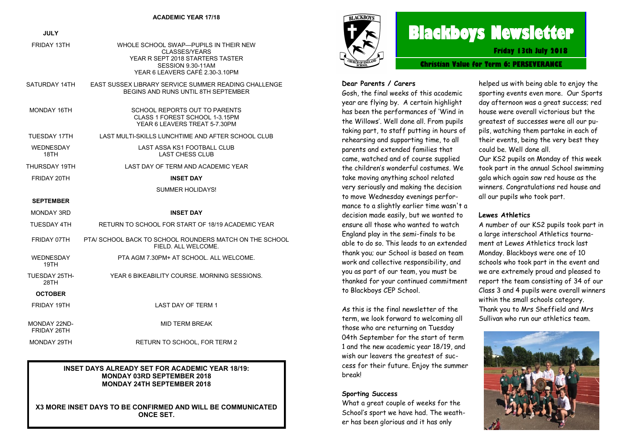| <b>JULY</b>              |                                                                                                                                                           |
|--------------------------|-----------------------------------------------------------------------------------------------------------------------------------------------------------|
| FRIDAY 13TH              | WHOLE SCHOOL SWAP-PUPILS IN THEIR NEW<br><b>CLASSES/YEARS</b><br>YEAR R SEPT 2018 STARTERS TASTER<br>SESSION 9.30-11AM<br>YEAR 6 LEAVERS CAFÉ 2.30-3.10PM |
| SATURDAY 14TH            | EAST SUSSEX LIBRARY SERVICE SUMMER READING CHALLENGE<br><b>BEGINS AND RUNS UNTIL 8TH SEPTEMBER</b>                                                        |
| MONDAY 16TH              | SCHOOL REPORTS OUT TO PARENTS<br>CLASS 1 FOREST SCHOOL 1-3.15PM<br>YEAR 6 LEAVERS TREAT 5-7.30PM                                                          |
| TUESDAY 17TH             | LAST MULTI-SKILLS LUNCHTIME AND AFTER SCHOOL CLUB                                                                                                         |
| <b>WEDNESDAY</b><br>18TH | LAST ASSA KS1 FOOTBALL CLUB<br><b>LAST CHESS CLUB</b>                                                                                                     |
| THURSDAY 19TH            | LAST DAY OF TERM AND ACADEMIC YEAR                                                                                                                        |
| FRIDAY 20TH              | <b>INSET DAY</b>                                                                                                                                          |
|                          | <b>SUMMER HOLIDAYS!</b>                                                                                                                                   |
| <b>SEPTEMBER</b>         |                                                                                                                                                           |
| MONDAY 3RD               | <b>INSET DAY</b>                                                                                                                                          |
| TUESDAY 4TH              | RETURN TO SCHOOL FOR START OF 18/19 ACADEMIC YEAR                                                                                                         |
| FRIDAY 07TH              | PTA/ SCHOOL BACK TO SCHOOL ROUNDERS MATCH ON THE SCHOOL<br>FIELD. ALL WELCOME.                                                                            |
| <b>WEDNESDAY</b><br>19TH | PTA AGM 7.30PM+ AT SCHOOL. ALL WELCOME.                                                                                                                   |
| TUESDAY 25TH-<br>28TH    | YEAR 6 BIKEABILITY COURSE. MORNING SESSIONS.                                                                                                              |
| <b>OCTOBER</b>           |                                                                                                                                                           |
| FRIDAY 19TH              | <b>LAST DAY OF TERM 1</b>                                                                                                                                 |
| MONDAY 22ND-             | MID TERM BREAK                                                                                                                                            |

## MONDAY 29TH RETURN TO SCHOOL, FOR TERM 2

FRIDAY 26TH

#### **INSET DAYS ALREADY SET FOR ACADEMIC YEAR 18/19: MONDAY 03RD SEPTEMBER 2018 MONDAY 24TH SEPTEMBER 2018**

**X3 MORE INSET DAYS TO BE CONFIRMED AND WILL BE COMMUNICATED ONCE SET.** 



# **Blackboys Newsletter**

**Friday 13th July 2018**

**Christian Value for Term 6: PERSEVERANCE**

#### **Dear Parents / Carers**

Gosh, the final weeks of this academic year are flying by. A certain highlight has been the performances of 'Wind in the Willows'. Well done all. From pupils taking part, to staff putting in hours of rehearsing and supporting time, to all parents and extended families that came, watched and of course supplied the children's wonderful costumes. We take moving anything school related very seriously and making the decision to move Wednesday evenings performance to a slightly earlier time wasn't a decision made easily, but we wanted to ensure all those who wanted to watch England play in the semi-finals to be able to do so. This leads to an extended thank you; our School is based on team work and collective responsibility, and you as part of our team, you must be thanked for your continued commitment to Blackboys CEP School.

As this is the final newsletter of the term, we look forward to welcoming all those who are returning on Tuesday 04th September for the start of term 1 and the new academic year 18/19, and wish our leavers the greatest of success for their future. Enjoy the summer break!

#### **Sporting Success**

What a great couple of weeks for the School's sport we have had. The weather has been glorious and it has only

helped us with being able to enjoy the sporting events even more. Our Sports day afternoon was a great success; red house were overall victorious but the greatest of successes were all our pupils, watching them partake in each of their events, being the very best they could be. Well done all.

Our KS2 pupils on Monday of this week took part in the annual School swimming gala which again saw red house as the winners. Congratulations red house and all our pupils who took part.

#### **Lewes Athletics**

A number of our KS2 pupils took part in a large interschool Athletics tournament at Lewes Athletics track last Monday. Blackboys were one of 10 schools who took part in the event and we are extremely proud and pleased to report the team consisting of 34 of our Class 3 and 4 pupils were overall winners within the small schools category. Thank you to Mrs Sheffield and Mrs Sullivan who run our athletics team.